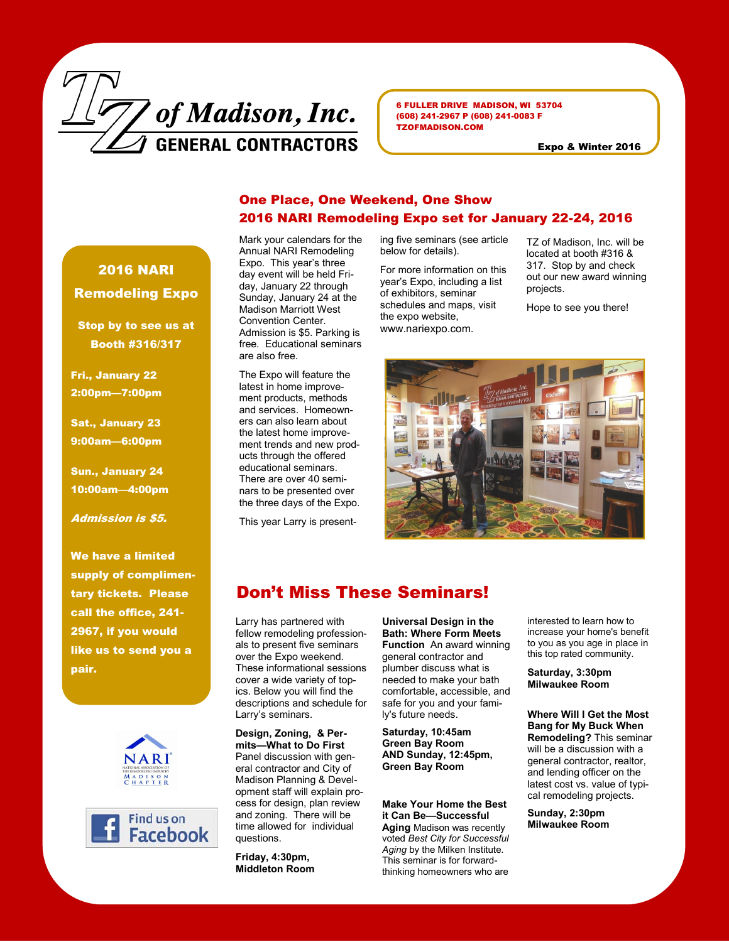

6 FULLER DRIVE MADISON, WI 53704 (608) 241-2967 P (608) 241-0083 F TZOFMADISON.COM

Expo & Winter 2016

## One Place, One Weekend, One Show 2016 NARI Remodeling Expo set for January 22-24, 2016

Mark your calendars for the Annual NARI Remodeling Expo. This year's three day event will be held Friday, January 22 through Sunday, January 24 at the Madison Marriott West Convention Center. Admission is \$5. Parking is free. Educational seminars are also free.

The Expo will feature the latest in home improvement products, methods and services. Homeowners can also learn about the latest home improvement trends and new products through the offered educational seminars. There are over 40 seminars to be presented over the three days of the Expo.

This year Larry is present-

ing five seminars (see article below for details).

For more information on this year's Expo, including a list of exhibitors, seminar schedules and maps, visit the expo website, www.nariexpo.com.

TZ of Madison, Inc. will be located at booth #316 & 317. Stop by and check out our new award winning projects.

Hope to see you there!



## Don't Miss These Seminars!

Larry has partnered with fellow remodeling professionals to present five seminars over the Expo weekend. These informational sessions cover a wide variety of topics. Below you will find the descriptions and schedule for Larry's seminars.

**Design, Zoning, & Permits—What to Do First**  Panel discussion with general contractor and City of Madison Planning & Development staff will explain process for design, plan review and zoning. There will be time allowed for individual questions.

**Friday, 4:30pm, Middleton Room** 

**Universal Design in the Bath: Where Form Meets Function** An award winning general contractor and plumber discuss what is needed to make your bath comfortable, accessible, and safe for you and your family's future needs.

**Saturday, 10:45am Green Bay Room AND Sunday, 12:45pm, Green Bay Room** 

**Make Your Home the Best it Can Be—Successful Aging** Madison was recently voted *Best City for Successful Aging* by the Milken Institute. This seminar is for forwardthinking homeowners who are

interested to learn how to increase your home's benefit to you as you age in place in this top rated community.

**Saturday, 3:30pm Milwaukee Room**

**Where Will I Get the Most Bang for My Buck When Remodeling?** This seminar will be a discussion with a general contractor, realtor, and lending officer on the latest cost vs. value of typical remodeling projects.

**Sunday, 2:30pm Milwaukee Room**

2016 NARI Remodeling Expo

Stop by to see us at Booth #316/317

Fri., January 22 2:00pm—7:00pm

Sat., January 23 9:00am—6:00pm

Sun., January 24 10:00am—4:00pm

Admission is \$5.

We have a limited supply of complimentary tickets. Please call the office, 241- 2967, if you would like us to send you a pair.